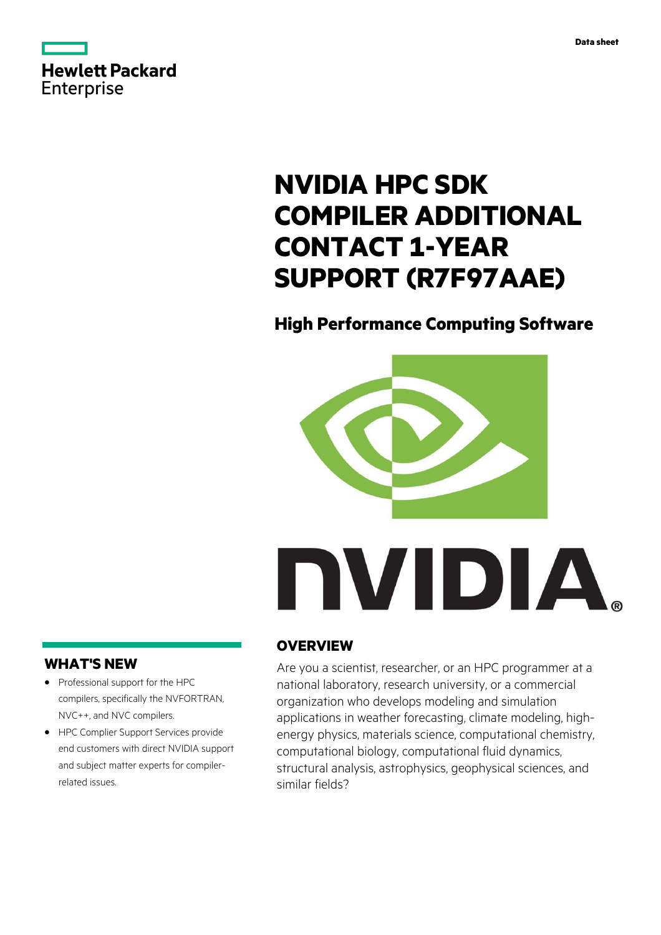



# **NVIDIA HPC SDK COMPILER ADDITIONAL CONTACT 1-YEAR SUPPORT (R7F97AAE)**

# **High Performance Computing Software**



## **WHAT'S NEW**

- **·** Professional support for the HPC compilers, specifically the NVFORTRAN, NVC++, and NVC compilers.
- **·** HPC Complier Support Services provide end customers with direct NVIDIA support and subject matter experts for compilerrelated issues.

# **OVERVIEW**

Are you a scientist, researcher, or an HPC programmer at a national laboratory, research university, or a commercial organization who develops modeling and simulation applications in weather forecasting, climate modeling, highenergy physics, materials science, computational chemistry, computational biology, computational fluid dynamics, structural analysis, astrophysics, geophysical sciences, and similar fields?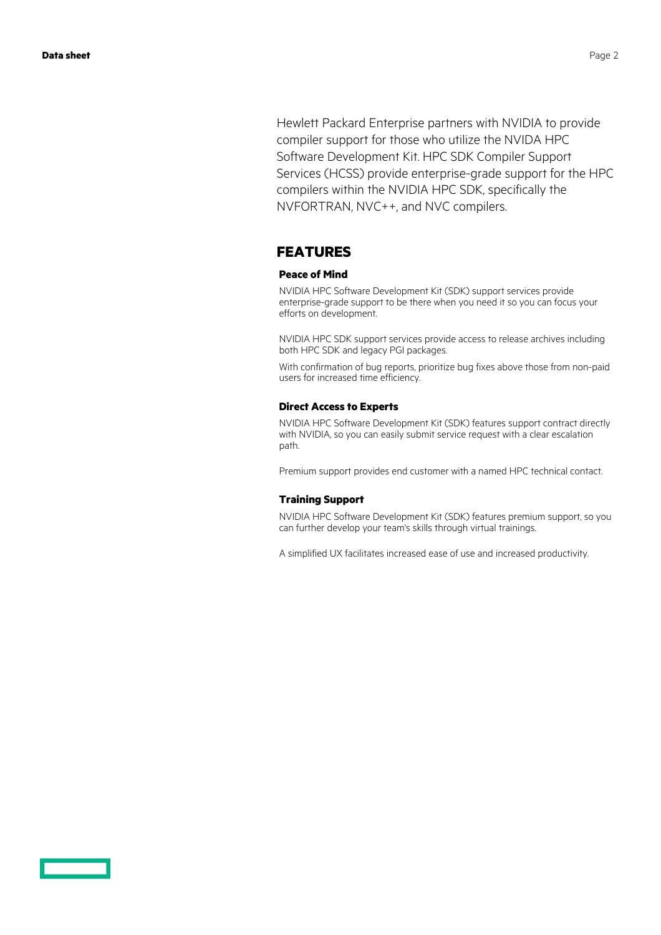Hewlett Packard Enterprise partners with NVIDIA to provide compiler support for those who utilize the NVIDA HPC Software Development Kit. HPC SDK Compiler Support Services (HCSS) provide enterprise-grade support for the HPC compilers within the NVIDIA HPC SDK, specifically the NVFORTRAN, NVC++, and NVC compilers.

### **FEATURES**

#### **Peace of Mind**

NVIDIA HPC Software Development Kit (SDK) support services provide enterprise-grade support to be there when you need it so you can focus your efforts on development.

NVIDIA HPC SDK support services provide access to release archives including both HPC SDK and legacy PGI packages.

With confirmation of bug reports, prioritize bug fixes above those from non-paid users for increased time efficiency.

#### **Direct Access to Experts**

NVIDIA HPC Software Development Kit (SDK) features support contract directly with NVIDIA, so you can easily submit service request with a clear escalation path.

Premium support provides end customer with a named HPC technical contact.

#### **Training Support**

NVIDIA HPC Software Development Kit (SDK) features premium support, so you can further develop your team's skills through virtual trainings.

A simplified UX facilitates increased ease of use and increased productivity.